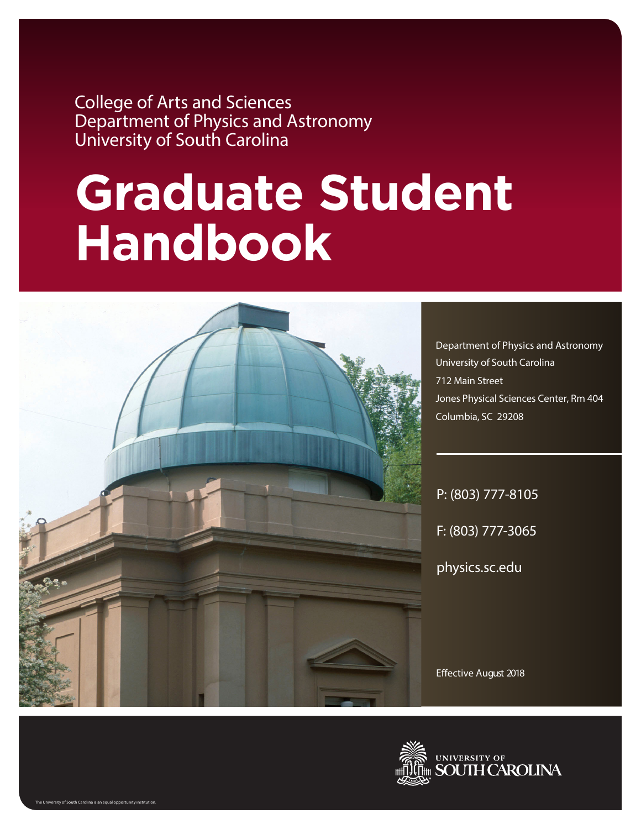College of Arts and Sciences Department of Physics and Astronomy University of South Carolina

# **Graduate Student Handbook**



Department of Physics and Astronomy University of South Carolina 712 Main Street Jones Physical Sciences Center, Rm 404 Columbia, SC 29208

P: (803) 777-8105 F: (803) 777-3065 physics.sc.edu

Effective August 2018

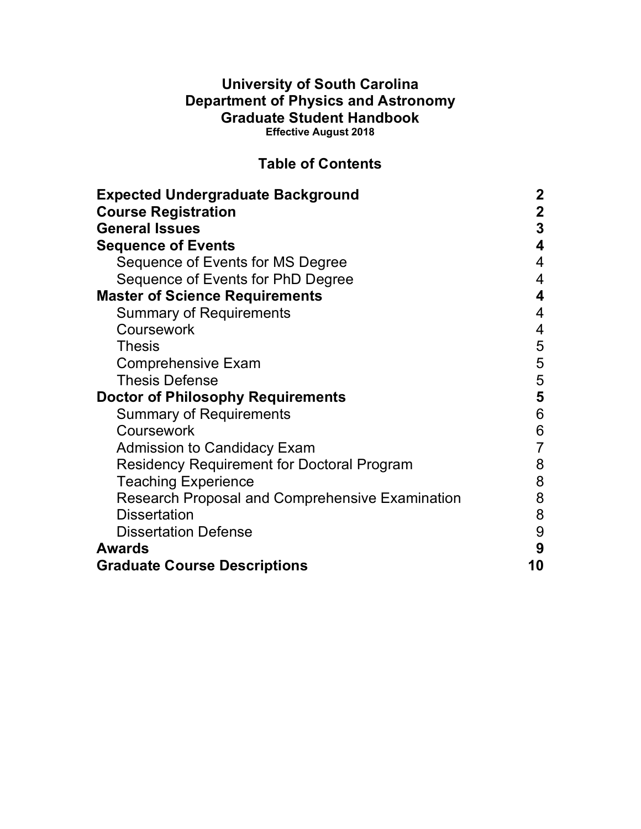# **University of South Carolina Department of Physics and Astronomy Graduate Student Handbook Effective August 2018**

# **Table of Contents**

| <b>Expected Undergraduate Background</b>               | 2              |
|--------------------------------------------------------|----------------|
| <b>Course Registration</b>                             | $\mathbf 2$    |
| <b>General Issues</b>                                  | $\overline{3}$ |
| <b>Sequence of Events</b>                              | 4              |
| Sequence of Events for MS Degree                       | 4              |
| Sequence of Events for PhD Degree                      | 4              |
| <b>Master of Science Requirements</b>                  | 4              |
| <b>Summary of Requirements</b>                         | 4              |
| Coursework                                             | 4              |
| <b>Thesis</b>                                          | 5              |
| <b>Comprehensive Exam</b>                              | 5              |
| <b>Thesis Defense</b>                                  | 5              |
| <b>Doctor of Philosophy Requirements</b>               | 5              |
| <b>Summary of Requirements</b>                         | $\,6$          |
| Coursework                                             | 6              |
| <b>Admission to Candidacy Exam</b>                     | $\overline{7}$ |
| <b>Residency Requirement for Doctoral Program</b>      | 8              |
| <b>Teaching Experience</b>                             | 8              |
| <b>Research Proposal and Comprehensive Examination</b> | 8              |
| <b>Dissertation</b>                                    | 8              |
| <b>Dissertation Defense</b>                            | 9              |
| <b>Awards</b>                                          | 9              |
| <b>Graduate Course Descriptions</b>                    | 10             |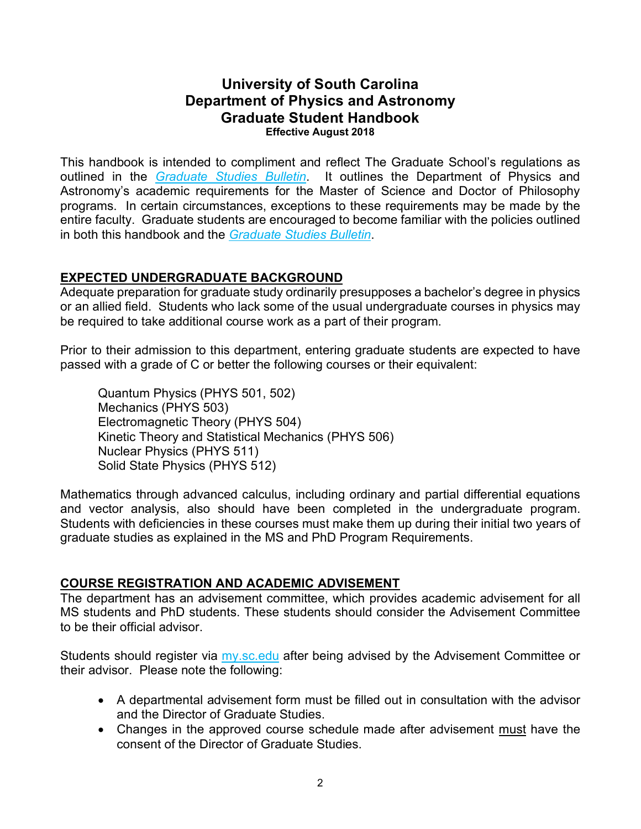# **University of South Carolina Department of Physics and Astronomy Graduate Student Handbook Effective August 2018**

This handbook is intended to compliment and reflect The Graduate School's regulations as outlined in the *Graduate Studies Bulletin*. It outlines the Department of Physics and Astronomy's academic requirements for the Master of Science and Doctor of Philosophy programs. In certain circumstances, exceptions to these requirements may be made by the entire faculty. Graduate students are encouraged to become familiar with the policies outlined in both this handbook and the *Graduate Studies Bulletin*.

# **EXPECTED UNDERGRADUATE BACKGROUND**

Adequate preparation for graduate study ordinarily presupposes a bachelor's degree in physics or an allied field. Students who lack some of the usual undergraduate courses in physics may be required to take additional course work as a part of their program.

Prior to their admission to this department, entering graduate students are expected to have passed with a grade of C or better the following courses or their equivalent:

Quantum Physics (PHYS 501, 502) Mechanics (PHYS 503) Electromagnetic Theory (PHYS 504) Kinetic Theory and Statistical Mechanics (PHYS 506) Nuclear Physics (PHYS 511) Solid State Physics (PHYS 512)

Mathematics through advanced calculus, including ordinary and partial differential equations and vector analysis, also should have been completed in the undergraduate program. Students with deficiencies in these courses must make them up during their initial two years of graduate studies as explained in the MS and PhD Program Requirements.

# **COURSE REGISTRATION AND ACADEMIC ADVISEMENT**

The department has an advisement committee, which provides academic advisement for all MS students and PhD students. These students should consider the Advisement Committee to be their official advisor.

Students should register via my.sc.edu after being advised by the Advisement Committee or their advisor. Please note the following:

- A departmental advisement form must be filled out in consultation with the advisor and the Director of Graduate Studies.
- Changes in the approved course schedule made after advisement must have the consent of the Director of Graduate Studies.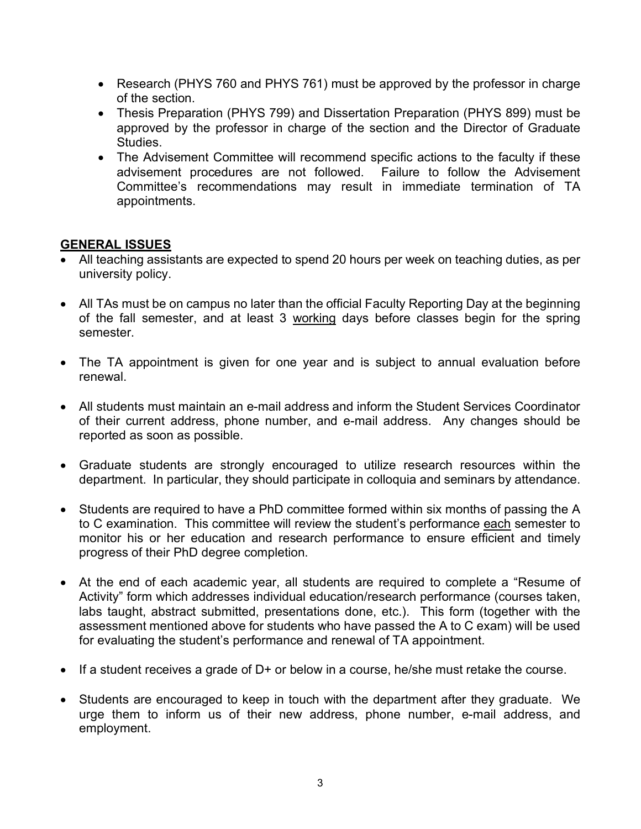- Research (PHYS 760 and PHYS 761) must be approved by the professor in charge of the section.
- Thesis Preparation (PHYS 799) and Dissertation Preparation (PHYS 899) must be approved by the professor in charge of the section and the Director of Graduate Studies.
- The Advisement Committee will recommend specific actions to the faculty if these advisement procedures are not followed. Failure to follow the Advisement Committee's recommendations may result in immediate termination of TA appointments.

# **GENERAL ISSUES**

- All teaching assistants are expected to spend 20 hours per week on teaching duties, as per university policy.
- All TAs must be on campus no later than the official Faculty Reporting Day at the beginning of the fall semester, and at least 3 working days before classes begin for the spring semester.
- The TA appointment is given for one year and is subject to annual evaluation before renewal.
- All students must maintain an e-mail address and inform the Student Services Coordinator of their current address, phone number, and e-mail address. Any changes should be reported as soon as possible.
- Graduate students are strongly encouraged to utilize research resources within the department. In particular, they should participate in colloquia and seminars by attendance.
- Students are required to have a PhD committee formed within six months of passing the A to C examination. This committee will review the student's performance each semester to monitor his or her education and research performance to ensure efficient and timely progress of their PhD degree completion.
- At the end of each academic year, all students are required to complete a "Resume of Activity" form which addresses individual education/research performance (courses taken, labs taught, abstract submitted, presentations done, etc.). This form (together with the assessment mentioned above for students who have passed the A to C exam) will be used for evaluating the student's performance and renewal of TA appointment.
- If a student receives a grade of D+ or below in a course, he/she must retake the course.
- Students are encouraged to keep in touch with the department after they graduate. We urge them to inform us of their new address, phone number, e-mail address, and employment.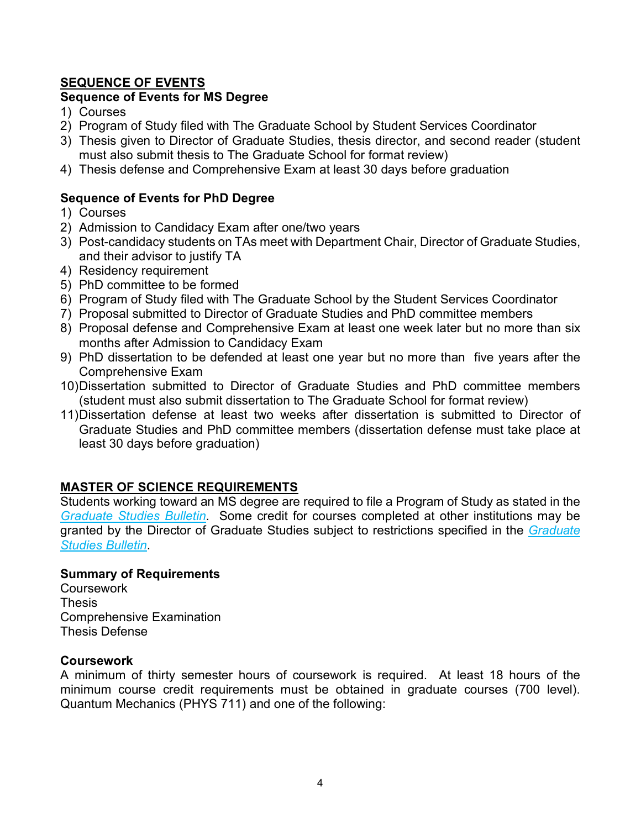# **SEQUENCE OF EVENTS**

## **Sequence of Events for MS Degree**

- 1) Courses
- 2) Program of Study filed with The Graduate School by Student Services Coordinator
- 3) Thesis given to Director of Graduate Studies, thesis director, and second reader (student must also submit thesis to The Graduate School for format review)
- 4) Thesis defense and Comprehensive Exam at least 30 days before graduation

# **Sequence of Events for PhD Degree**

- 1) Courses
- 2) Admission to Candidacy Exam after one/two years
- 3) Post-candidacy students on TAs meet with Department Chair, Director of Graduate Studies, and their advisor to justify TA
- 4) Residency requirement
- 5) PhD committee to be formed
- 6) Program of Study filed with The Graduate School by the Student Services Coordinator
- 7) Proposal submitted to Director of Graduate Studies and PhD committee members
- 8) Proposal defense and Comprehensive Exam at least one week later but no more than six months after Admission to Candidacy Exam
- 9) PhD dissertation to be defended at least one year but no more than five years after the Comprehensive Exam
- 10)Dissertation submitted to Director of Graduate Studies and PhD committee members (student must also submit dissertation to The Graduate School for format review)
- 11)Dissertation defense at least two weeks after dissertation is submitted to Director of Graduate Studies and PhD committee members (dissertation defense must take place at least 30 days before graduation)

# **MASTER OF SCIENCE REQUIREMENTS**

Students working toward an MS degree are required to file a Program of Study as stated in the *Graduate Studies Bulletin*. Some credit for courses completed at other institutions may be granted by the Director of Graduate Studies subject to restrictions specified in the *Graduate Studies Bulletin*.

## **Summary of Requirements**

**Coursework Thesis** Comprehensive Examination Thesis Defense

## **Coursework**

A minimum of thirty semester hours of coursework is required. At least 18 hours of the minimum course credit requirements must be obtained in graduate courses (700 level). Quantum Mechanics (PHYS 711) and one of the following: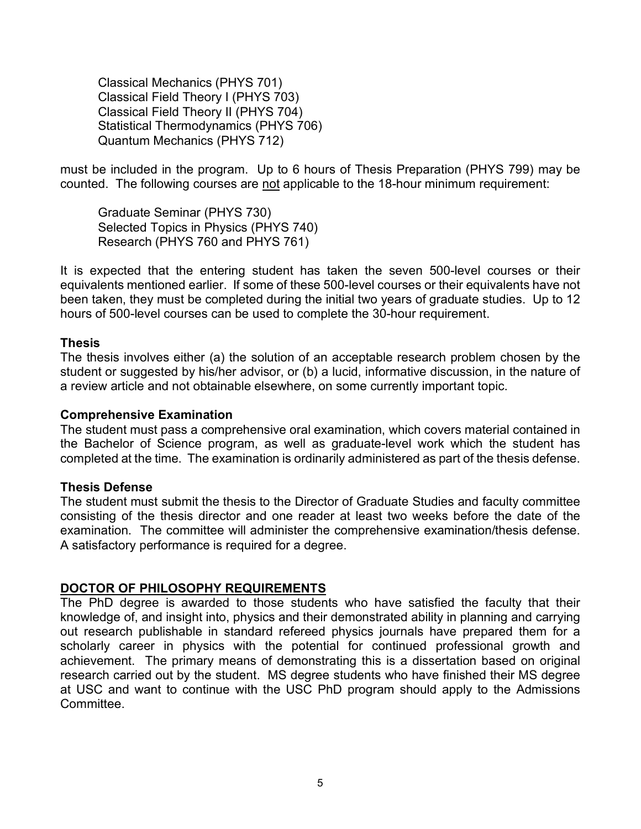Classical Mechanics (PHYS 701) Classical Field Theory I (PHYS 703) Classical Field Theory II (PHYS 704) Statistical Thermodynamics (PHYS 706) Quantum Mechanics (PHYS 712)

must be included in the program. Up to 6 hours of Thesis Preparation (PHYS 799) may be counted. The following courses are not applicable to the 18-hour minimum requirement:

Graduate Seminar (PHYS 730) Selected Topics in Physics (PHYS 740) Research (PHYS 760 and PHYS 761)

It is expected that the entering student has taken the seven 500-level courses or their equivalents mentioned earlier. If some of these 500-level courses or their equivalents have not been taken, they must be completed during the initial two years of graduate studies. Up to 12 hours of 500-level courses can be used to complete the 30-hour requirement.

## **Thesis**

The thesis involves either (a) the solution of an acceptable research problem chosen by the student or suggested by his/her advisor, or (b) a lucid, informative discussion, in the nature of a review article and not obtainable elsewhere, on some currently important topic.

#### **Comprehensive Examination**

The student must pass a comprehensive oral examination, which covers material contained in the Bachelor of Science program, as well as graduate-level work which the student has completed at the time. The examination is ordinarily administered as part of the thesis defense.

#### **Thesis Defense**

The student must submit the thesis to the Director of Graduate Studies and faculty committee consisting of the thesis director and one reader at least two weeks before the date of the examination. The committee will administer the comprehensive examination/thesis defense. A satisfactory performance is required for a degree.

#### **DOCTOR OF PHILOSOPHY REQUIREMENTS**

The PhD degree is awarded to those students who have satisfied the faculty that their knowledge of, and insight into, physics and their demonstrated ability in planning and carrying out research publishable in standard refereed physics journals have prepared them for a scholarly career in physics with the potential for continued professional growth and achievement. The primary means of demonstrating this is a dissertation based on original research carried out by the student. MS degree students who have finished their MS degree at USC and want to continue with the USC PhD program should apply to the Admissions Committee.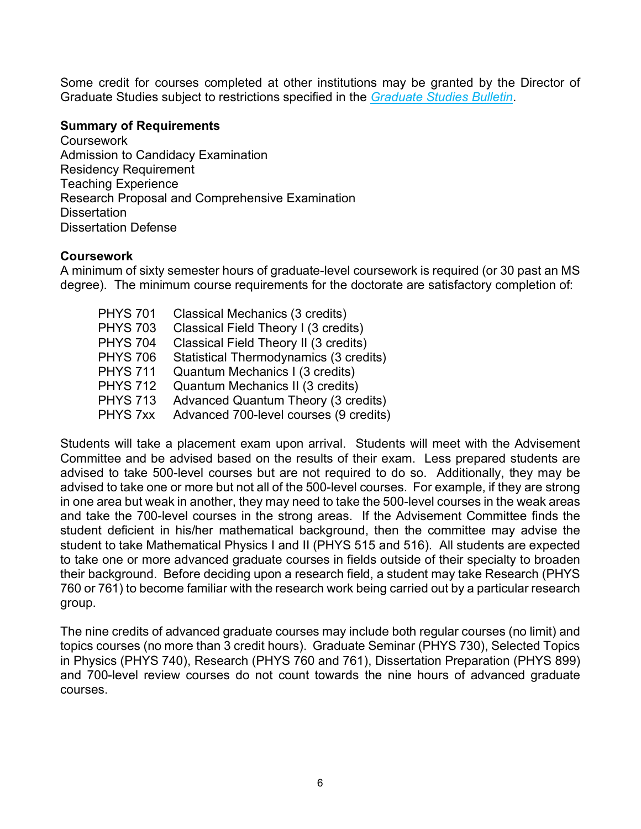Some credit for courses completed at other institutions may be granted by the Director of Graduate Studies subject to restrictions specified in the *Graduate Studies Bulletin*.

#### **Summary of Requirements**

**Coursework** Admission to Candidacy Examination Residency Requirement Teaching Experience Research Proposal and Comprehensive Examination **Dissertation** Dissertation Defense

#### **Coursework**

A minimum of sixty semester hours of graduate-level coursework is required (or 30 past an MS degree). The minimum course requirements for the doctorate are satisfactory completion of:

| <b>PHYS 701</b> | Classical Mechanics (3 credits)        |
|-----------------|----------------------------------------|
| <b>PHYS 703</b> | Classical Field Theory I (3 credits)   |
| <b>PHYS 704</b> | Classical Field Theory II (3 credits)  |
| <b>PHYS 706</b> | Statistical Thermodynamics (3 credits) |
| <b>PHYS 711</b> | Quantum Mechanics I (3 credits)        |
| <b>PHYS 712</b> | Quantum Mechanics II (3 credits)       |
| <b>PHYS 713</b> | Advanced Quantum Theory (3 credits)    |
| PHYS 7xx        | Advanced 700-level courses (9 credits) |
|                 |                                        |

Students will take a placement exam upon arrival. Students will meet with the Advisement Committee and be advised based on the results of their exam. Less prepared students are advised to take 500-level courses but are not required to do so. Additionally, they may be advised to take one or more but not all of the 500-level courses. For example, if they are strong in one area but weak in another, they may need to take the 500-level courses in the weak areas and take the 700-level courses in the strong areas. If the Advisement Committee finds the student deficient in his/her mathematical background, then the committee may advise the student to take Mathematical Physics I and II (PHYS 515 and 516). All students are expected to take one or more advanced graduate courses in fields outside of their specialty to broaden their background. Before deciding upon a research field, a student may take Research (PHYS 760 or 761) to become familiar with the research work being carried out by a particular research group.

The nine credits of advanced graduate courses may include both regular courses (no limit) and topics courses (no more than 3 credit hours). Graduate Seminar (PHYS 730), Selected Topics in Physics (PHYS 740), Research (PHYS 760 and 761), Dissertation Preparation (PHYS 899) and 700-level review courses do not count towards the nine hours of advanced graduate courses.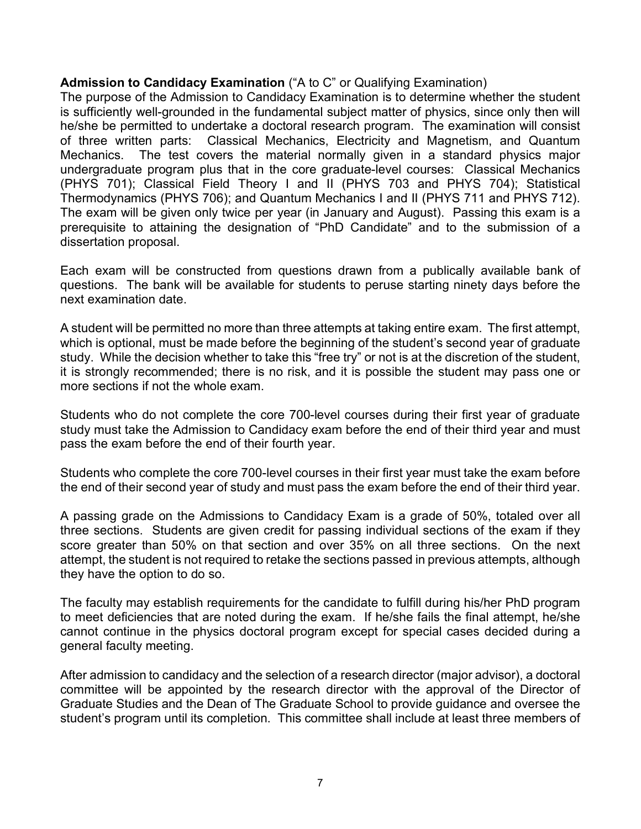## **Admission to Candidacy Examination** ("A to C" or Qualifying Examination)

The purpose of the Admission to Candidacy Examination is to determine whether the student is sufficiently well-grounded in the fundamental subject matter of physics, since only then will he/she be permitted to undertake a doctoral research program. The examination will consist of three written parts: Classical Mechanics, Electricity and Magnetism, and Quantum Mechanics. The test covers the material normally given in a standard physics major undergraduate program plus that in the core graduate-level courses: Classical Mechanics (PHYS 701); Classical Field Theory I and II (PHYS 703 and PHYS 704); Statistical Thermodynamics (PHYS 706); and Quantum Mechanics I and II (PHYS 711 and PHYS 712). The exam will be given only twice per year (in January and August). Passing this exam is a prerequisite to attaining the designation of "PhD Candidate" and to the submission of a dissertation proposal.

Each exam will be constructed from questions drawn from a publically available bank of questions. The bank will be available for students to peruse starting ninety days before the next examination date.

A student will be permitted no more than three attempts at taking entire exam. The first attempt, which is optional, must be made before the beginning of the student's second year of graduate study. While the decision whether to take this "free try" or not is at the discretion of the student, it is strongly recommended; there is no risk, and it is possible the student may pass one or more sections if not the whole exam.

Students who do not complete the core 700-level courses during their first year of graduate study must take the Admission to Candidacy exam before the end of their third year and must pass the exam before the end of their fourth year.

Students who complete the core 700-level courses in their first year must take the exam before the end of their second year of study and must pass the exam before the end of their third year.

A passing grade on the Admissions to Candidacy Exam is a grade of 50%, totaled over all three sections. Students are given credit for passing individual sections of the exam if they score greater than 50% on that section and over 35% on all three sections. On the next attempt, the student is not required to retake the sections passed in previous attempts, although they have the option to do so.

The faculty may establish requirements for the candidate to fulfill during his/her PhD program to meet deficiencies that are noted during the exam. If he/she fails the final attempt, he/she cannot continue in the physics doctoral program except for special cases decided during a general faculty meeting.

After admission to candidacy and the selection of a research director (major advisor), a doctoral committee will be appointed by the research director with the approval of the Director of Graduate Studies and the Dean of The Graduate School to provide guidance and oversee the student's program until its completion. This committee shall include at least three members of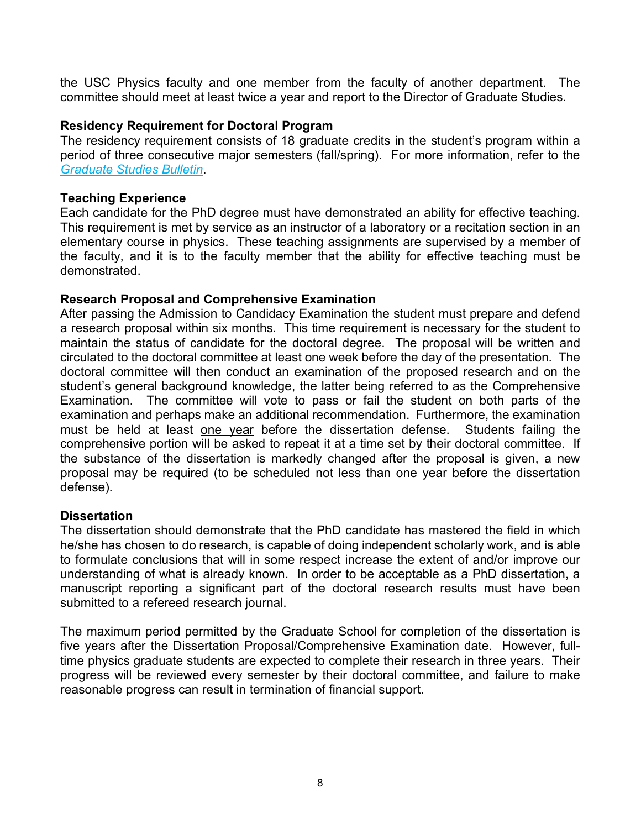the USC Physics faculty and one member from the faculty of another department. The committee should meet at least twice a year and report to the Director of Graduate Studies.

## **Residency Requirement for Doctoral Program**

The residency requirement consists of 18 graduate credits in the student's program within a period of three consecutive major semesters (fall/spring). For more information, refer to the *Graduate Studies Bulletin*.

#### **Teaching Experience**

Each candidate for the PhD degree must have demonstrated an ability for effective teaching. This requirement is met by service as an instructor of a laboratory or a recitation section in an elementary course in physics. These teaching assignments are supervised by a member of the faculty, and it is to the faculty member that the ability for effective teaching must be demonstrated.

#### **Research Proposal and Comprehensive Examination**

After passing the Admission to Candidacy Examination the student must prepare and defend a research proposal within six months. This time requirement is necessary for the student to maintain the status of candidate for the doctoral degree. The proposal will be written and circulated to the doctoral committee at least one week before the day of the presentation. The doctoral committee will then conduct an examination of the proposed research and on the student's general background knowledge, the latter being referred to as the Comprehensive Examination. The committee will vote to pass or fail the student on both parts of the examination and perhaps make an additional recommendation. Furthermore, the examination must be held at least one year before the dissertation defense. Students failing the comprehensive portion will be asked to repeat it at a time set by their doctoral committee. If the substance of the dissertation is markedly changed after the proposal is given, a new proposal may be required (to be scheduled not less than one year before the dissertation defense).

## **Dissertation**

The dissertation should demonstrate that the PhD candidate has mastered the field in which he/she has chosen to do research, is capable of doing independent scholarly work, and is able to formulate conclusions that will in some respect increase the extent of and/or improve our understanding of what is already known. In order to be acceptable as a PhD dissertation, a manuscript reporting a significant part of the doctoral research results must have been submitted to a refereed research journal.

The maximum period permitted by the Graduate School for completion of the dissertation is five years after the Dissertation Proposal/Comprehensive Examination date. However, fulltime physics graduate students are expected to complete their research in three years. Their progress will be reviewed every semester by their doctoral committee, and failure to make reasonable progress can result in termination of financial support.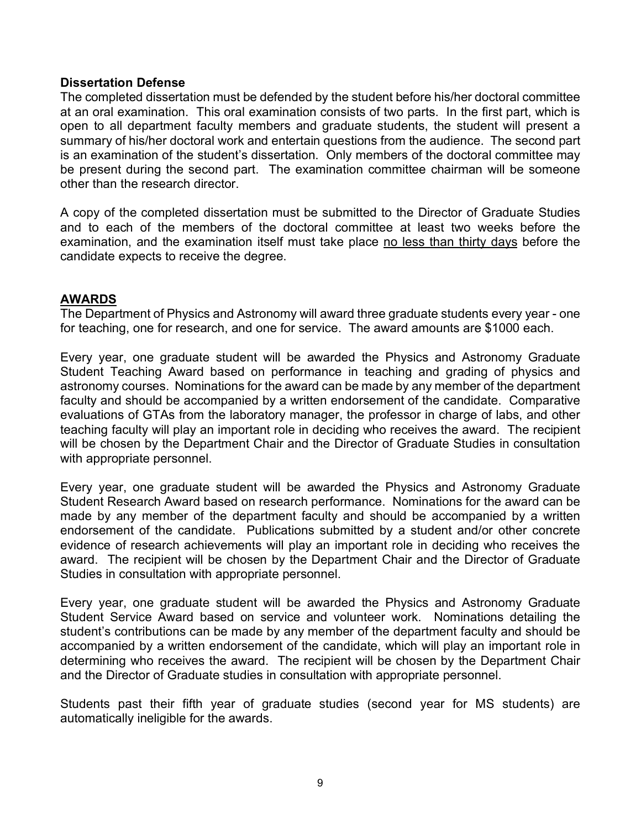#### **Dissertation Defense**

The completed dissertation must be defended by the student before his/her doctoral committee at an oral examination. This oral examination consists of two parts. In the first part, which is open to all department faculty members and graduate students, the student will present a summary of his/her doctoral work and entertain questions from the audience. The second part is an examination of the student's dissertation. Only members of the doctoral committee may be present during the second part. The examination committee chairman will be someone other than the research director.

A copy of the completed dissertation must be submitted to the Director of Graduate Studies and to each of the members of the doctoral committee at least two weeks before the examination, and the examination itself must take place no less than thirty days before the candidate expects to receive the degree.

## **AWARDS**

The Department of Physics and Astronomy will award three graduate students every year - one for teaching, one for research, and one for service. The award amounts are \$1000 each.

Every year, one graduate student will be awarded the Physics and Astronomy Graduate Student Teaching Award based on performance in teaching and grading of physics and astronomy courses. Nominations for the award can be made by any member of the department faculty and should be accompanied by a written endorsement of the candidate. Comparative evaluations of GTAs from the laboratory manager, the professor in charge of labs, and other teaching faculty will play an important role in deciding who receives the award. The recipient will be chosen by the Department Chair and the Director of Graduate Studies in consultation with appropriate personnel.

Every year, one graduate student will be awarded the Physics and Astronomy Graduate Student Research Award based on research performance. Nominations for the award can be made by any member of the department faculty and should be accompanied by a written endorsement of the candidate. Publications submitted by a student and/or other concrete evidence of research achievements will play an important role in deciding who receives the award. The recipient will be chosen by the Department Chair and the Director of Graduate Studies in consultation with appropriate personnel.

Every year, one graduate student will be awarded the Physics and Astronomy Graduate Student Service Award based on service and volunteer work. Nominations detailing the student's contributions can be made by any member of the department faculty and should be accompanied by a written endorsement of the candidate, which will play an important role in determining who receives the award. The recipient will be chosen by the Department Chair and the Director of Graduate studies in consultation with appropriate personnel.

Students past their fifth year of graduate studies (second year for MS students) are automatically ineligible for the awards.